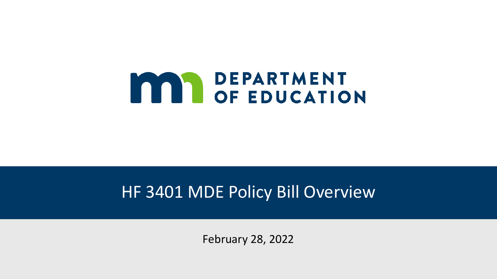# **MARIARTMENT**

#### HF 3401 MDE Policy Bill Overview

February 28, 2022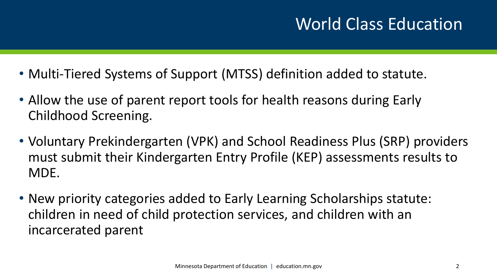- Multi-Tiered Systems of Support (MTSS) definition added to statute.
- Allow the use of parent report tools for health reasons during Early Childhood Screening.
- Voluntary Prekindergarten (VPK) and School Readiness Plus (SRP) providers must submit their Kindergarten Entry Profile (KEP) assessments results to MDE.
- New priority categories added to Early Learning Scholarships statute: children in need of child protection services, and children with an incarcerated parent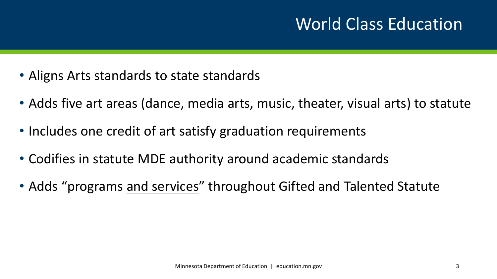#### World Class Education

- Aligns Arts standards to state standards
- Adds five art areas (dance, media arts, music, theater, visual arts) to statute
- Includes one credit of art satisfy graduation requirements
- Codifies in statute MDE authority around academic standards
- Adds "programs and services" throughout Gifted and Talented Statute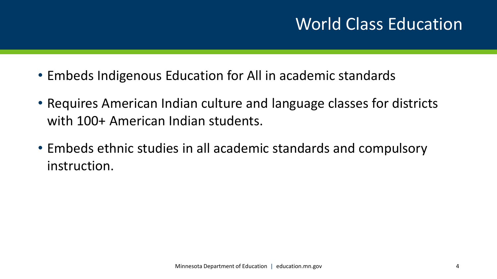#### World Class Education

- Embeds Indigenous Education for All in academic standards
- Requires American Indian culture and language classes for districts with 100+ American Indian students.
- Embeds ethnic studies in all academic standards and compulsory instruction.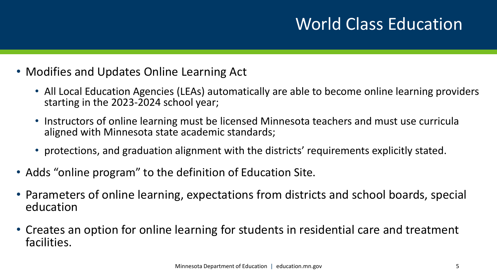# World Class Education

- Modifies and Updates Online Learning Act
	- All Local Education Agencies (LEAs) automatically are able to become online learning providers starting in the 2023-2024 school year;
	- Instructors of online learning must be licensed Minnesota teachers and must use curricula aligned with Minnesota state academic standards;
	- protections, and graduation alignment with the districts' requirements explicitly stated.
- Adds "online program" to the definition of Education Site.
- Parameters of online learning, expectations from districts and school boards, special education
- Creates an option for online learning for students in residential care and treatment facilities.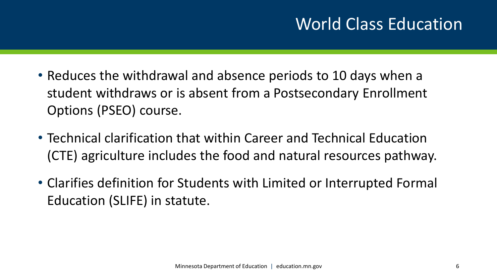- Reduces the withdrawal and absence periods to 10 days when a student withdraws or is absent from a Postsecondary Enrollment Options (PSEO) course.
- Technical clarification that within Career and Technical Education (CTE) agriculture includes the food and natural resources pathway.
- Clarifies definition for Students with Limited or Interrupted Formal Education (SLIFE) in statute.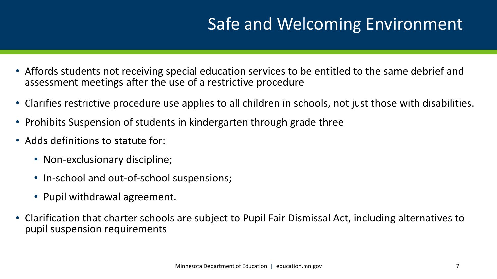- Affords students not receiving special education services to be entitled to the same debrief and assessment meetings after the use of a restrictive procedure
- Clarifies restrictive procedure use applies to all children in schools, not just those with disabilities.
- Prohibits Suspension of students in kindergarten through grade three
- Adds definitions to statute for:
	- Non-exclusionary discipline;
	- In-school and out-of-school suspensions;
	- Pupil withdrawal agreement.
- Clarification that charter schools are subject to Pupil Fair Dismissal Act, including alternatives to pupil suspension requirements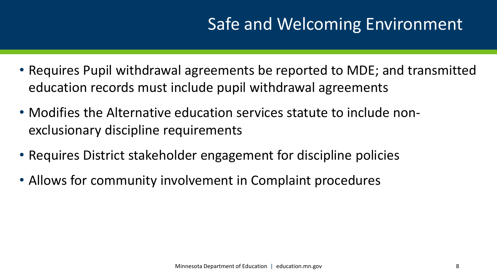- Requires Pupil withdrawal agreements be reported to MDE; and transmitted education records must include pupil withdrawal agreements
- Modifies the Alternative education services statute to include nonexclusionary discipline requirements
- Requires District stakeholder engagement for discipline policies
- Allows for community involvement in Complaint procedures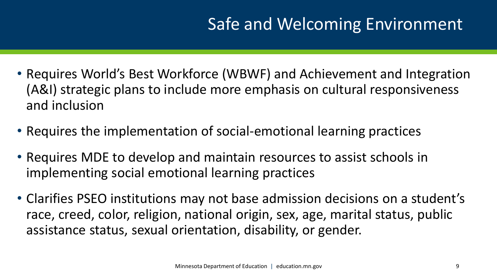- Requires World's Best Workforce (WBWF) and Achievement and Integration (A&I) strategic plans to include more emphasis on cultural responsiveness and inclusion
- Requires the implementation of social-emotional learning practices
- Requires MDE to develop and maintain resources to assist schools in implementing social emotional learning practices
- Clarifies PSEO institutions may not base admission decisions on a student's race, creed, color, religion, national origin, sex, age, marital status, public assistance status, sexual orientation, disability, or gender.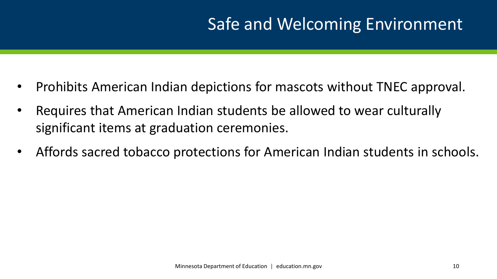- Prohibits American Indian depictions for mascots without TNEC approval.
- Requires that American Indian students be allowed to wear culturally significant items at graduation ceremonies.
- Affords sacred tobacco protections for American Indian students in schools.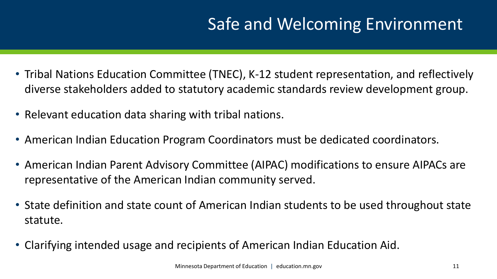- Tribal Nations Education Committee (TNEC), K-12 student representation, and reflectively diverse stakeholders added to statutory academic standards review development group.
- Relevant education data sharing with tribal nations.
- American Indian Education Program Coordinators must be dedicated coordinators.
- American Indian Parent Advisory Committee (AIPAC) modifications to ensure AIPACs are representative of the American Indian community served.
- State definition and state count of American Indian students to be used throughout state statute.
- Clarifying intended usage and recipients of American Indian Education Aid.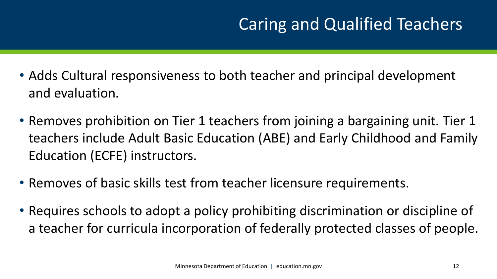- Adds Cultural responsiveness to both teacher and principal development and evaluation.
- Removes prohibition on Tier 1 teachers from joining a bargaining unit. Tier 1 teachers include Adult Basic Education (ABE) and Early Childhood and Family Education (ECFE) instructors.
- Removes of basic skills test from teacher licensure requirements.
- Requires schools to adopt a policy prohibiting discrimination or discipline of a teacher for curricula incorporation of federally protected classes of people.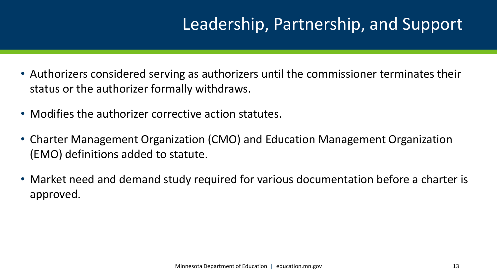- Authorizers considered serving as authorizers until the commissioner terminates their status or the authorizer formally withdraws.
- Modifies the authorizer corrective action statutes.
- Charter Management Organization (CMO) and Education Management Organization (EMO) definitions added to statute.
- Market need and demand study required for various documentation before a charter is approved.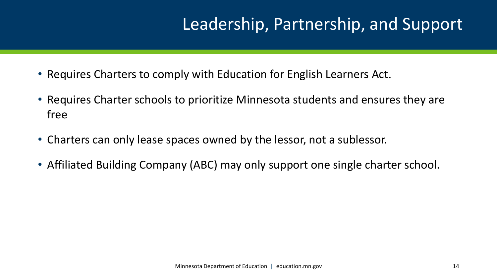- Requires Charters to comply with Education for English Learners Act.
- Requires Charter schools to prioritize Minnesota students and ensures they are free
- Charters can only lease spaces owned by the lessor, not a sublessor.
- Affiliated Building Company (ABC) may only support one single charter school.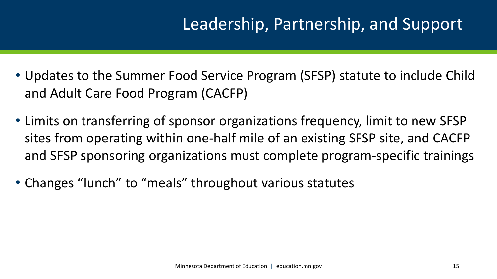- Updates to the Summer Food Service Program (SFSP) statute to include Child and Adult Care Food Program (CACFP)
- Limits on transferring of sponsor organizations frequency, limit to new SFSP sites from operating within one-half mile of an existing SFSP site, and CACFP and SFSP sponsoring organizations must complete program-specific trainings
- Changes "lunch" to "meals" throughout various statutes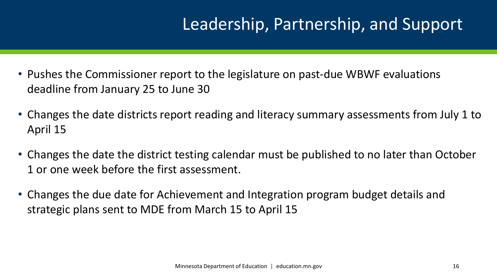- Pushes the Commissioner report to the legislature on past-due WBWF evaluations deadline from January 25 to June 30
- Changes the date districts report reading and literacy summary assessments from July 1 to April 15
- Changes the date the district testing calendar must be published to no later than October 1 or one week before the first assessment.
- Changes the due date for Achievement and Integration program budget details and strategic plans sent to MDE from March 15 to April 15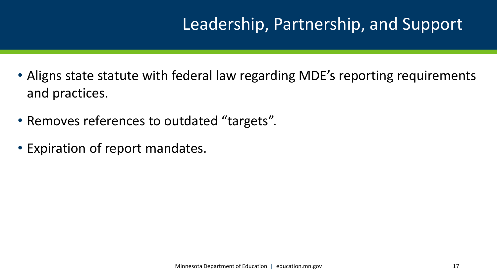- Aligns state statute with federal law regarding MDE's reporting requirements and practices.
- Removes references to outdated "targets".
- Expiration of report mandates.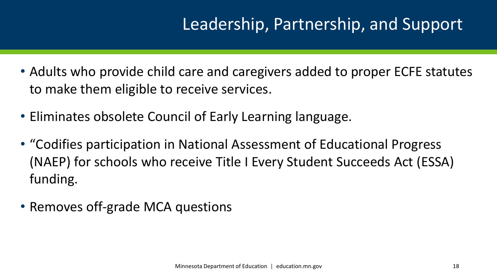- Adults who provide child care and caregivers added to proper ECFE statutes to make them eligible to receive services.
- Eliminates obsolete Council of Early Learning language.
- "Codifies participation in National Assessment of Educational Progress (NAEP) for schools who receive Title I Every Student Succeeds Act (ESSA) funding.
- Removes off-grade MCA questions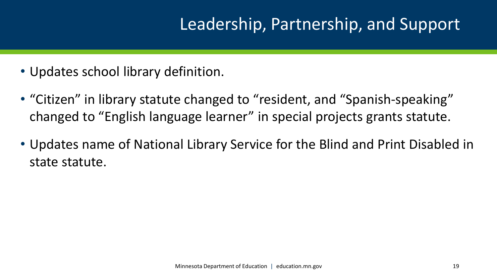- Updates school library definition.
- "Citizen" in library statute changed to "resident, and "Spanish-speaking" changed to "English language learner" in special projects grants statute.
- Updates name of National Library Service for the Blind and Print Disabled in state statute.